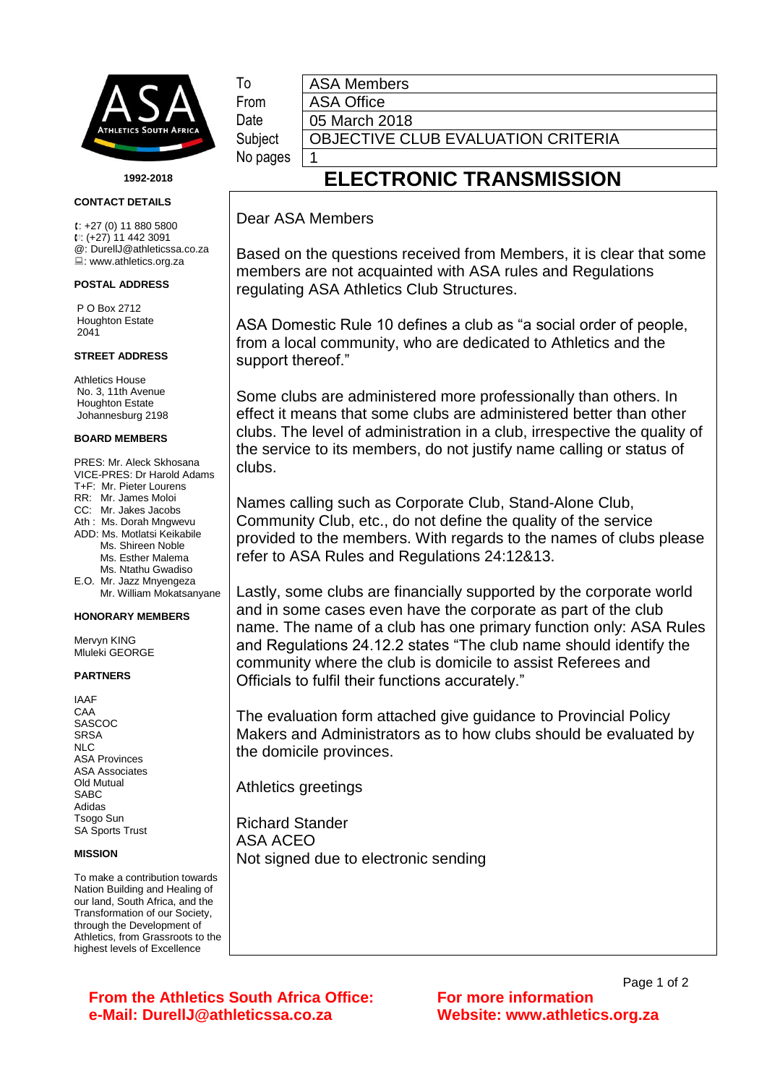

**1992-2018**

**CONTACT DETAILS**

 $1: +27(0)$  11 880 5800 : (+27) 11 442 3091 @: DurellJ@athleticssa.co.za : www.athletics.org.za

#### **POSTAL ADDRESS**

P O Box 2712 Houghton Estate 2041

### **STREET ADDRESS**

Athletics House No. 3, 11th Avenue Houghton Estate Johannesburg 2198

#### **BOARD MEMBERS**

PRES: Mr. Aleck Skhosana VICE-PRES: Dr Harold Adams T+F: Mr. Pieter Lourens RR: Mr. James Moloi CC: Mr. Jakes Jacobs Ath : Ms. Dorah Mngwevu ADD: Ms. Motlatsi Keikabile Ms. Shireen Noble Ms. Esther Malema Ms. Ntathu Gwadiso E.O. Mr. Jazz Mnyengeza Mr. William Mokatsanyane

### **HONORARY MEMBERS**

Mervyn KING Mluleki GEORGE

### **PARTNERS**

IAAF CAA SASCOC **SRSA** NLC ASA Provinces ASA Associates Old Mutual SABC Adidas Tsogo Sun SA Sports Trust

### **MISSION**

To make a contribution towards Nation Building and Healing of our land, South Africa, and the Transformation of our Society, through the Development of Athletics, from Grassroots to the highest levels of Excellence

From ASA Office Date | 05 March 2018

## To **ASA Members**

No pages | 1

Subject | OBJECTIVE CLUB EVALUATION CRITERIA

# **ELECTRONIC TRANSMISSION**

### Dear ASA Members

Based on the questions received from Members, it is clear that some members are not acquainted with ASA rules and Regulations regulating ASA Athletics Club Structures.

ASA Domestic Rule 10 defines a club as "a social order of people, from a local community, who are dedicated to Athletics and the support thereof."

Some clubs are administered more professionally than others. In effect it means that some clubs are administered better than other clubs. The level of administration in a club, irrespective the quality of the service to its members, do not justify name calling or status of clubs.

Names calling such as Corporate Club, Stand-Alone Club, Community Club, etc., do not define the quality of the service provided to the members. With regards to the names of clubs please refer to ASA Rules and Regulations 24:12&13.

Lastly, some clubs are financially supported by the corporate world and in some cases even have the corporate as part of the club name. The name of a club has one primary function only: ASA Rules and Regulations 24.12.2 states "The club name should identify the community where the club is domicile to assist Referees and Officials to fulfil their functions accurately."

The evaluation form attached give guidance to Provincial Policy Makers and Administrators as to how clubs should be evaluated by the domicile provinces.

Athletics greetings

Richard Stander ASA ACEO Not signed due to electronic sending

**From the Athletics South Africa Office: For more information e-Mail: DurellJ@athleticssa.co.za Website: www.athletics.org.za**